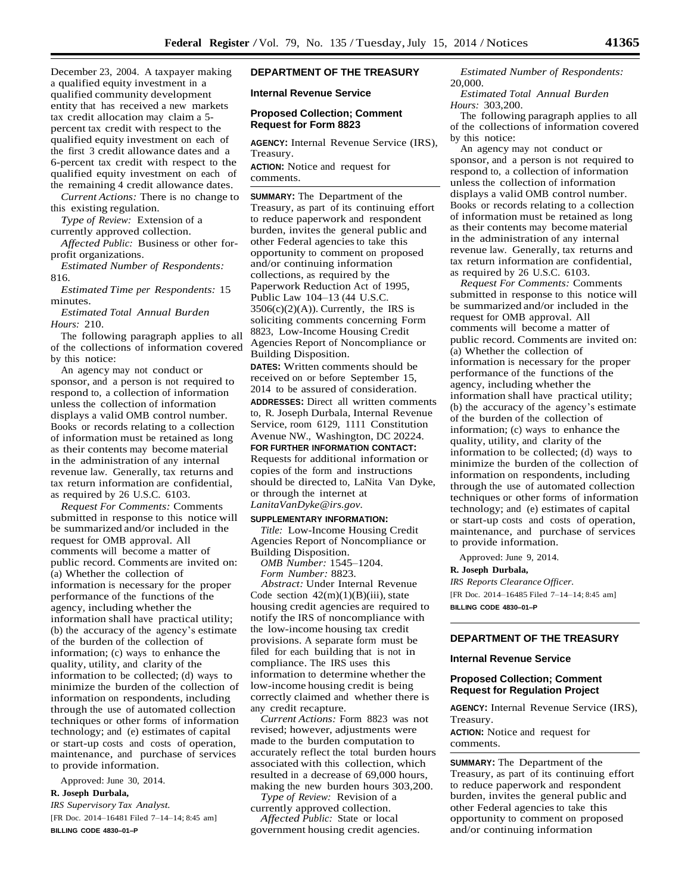December 23, 2004. A taxpayer making a qualified equity investment in a qualified community development entity that has received a new markets tax credit allocation may claim a 5 percent tax credit with respect to the qualified equity investment on each of the first 3 credit allowance dates and a 6-percent tax credit with respect to the qualified equity investment on each of the remaining 4 credit allowance dates.

*Current Actions:* There is no change to this existing regulation.

*Type of Review:* Extension of a currently approved collection.

*Affected Public:* Business or other forprofit organizations.

*Estimated Number of Respondents:* 816.

*Estimated Time per Respondents:* 15 minutes.

*Estimated Total Annual Burden Hours:* 210.

The following paragraph applies to all of the collections of information covered by this notice:

An agency may not conduct or sponsor, and a person is not required to respond to, a collection of information unless the collection of information displays a valid OMB control number. Books or records relating to a collection of information must be retained as long as their contents may become material in the administration of any internal revenue law. Generally, tax returns and tax return information are confidential, as required by 26 U.S.C. 6103.

*Request For Comments:* Comments submitted in response to this notice will be summarized and/or included in the request for OMB approval. All comments will become a matter of public record. Comments are invited on: (a) Whether the collection of information is necessary for the proper performance of the functions of the agency, including whether the information shall have practical utility; (b) the accuracy of the agency's estimate of the burden of the collection of information; (c) ways to enhance the quality, utility, and clarity of the information to be collected; (d) ways to minimize the burden of the collection of information on respondents, including through the use of automated collection techniques or other forms of information technology; and (e) estimates of capital or start-up costs and costs of operation, maintenance, and purchase of services to provide information.

Approved: June 30, 2014.

**R. Joseph Durbala,**

*IRS Supervisory Tax Analyst.* [FR Doc. 2014-16481 Filed 7-14-14; 8:45 am] **BILLING CODE 4830–01–P**

# **DEPARTMENT OF THE TREASURY**

**Internal Revenue Service**

### **Proposed Collection; Comment Request for Form 8823**

**AGENCY:** Internal Revenue Service (IRS), Treasury.

**ACTION:** Notice and request for comments.

**SUMMARY:** The Department of the Treasury, as part of its continuing effort to reduce paperwork and respondent burden, invites the general public and other Federal agencies to take this opportunity to comment on proposed and/or continuing information collections, as required by the Paperwork Reduction Act of 1995, Public Law 104–13 (44 U.S.C.  $3506(c)(2)(A)$ ). Currently, the IRS is soliciting comments concerning Form 8823, Low-Income Housing Credit Agencies Report of Noncompliance or Building Disposition.

**DATES:** Written comments should be received on or before September 15, 2014 to be assured of consideration. **ADDRESSES:** Direct all written comments to, R. Joseph Durbala, Internal Revenue Service, room 6129, 1111 Constitution Avenue NW., Washington, DC 20224. **FOR FURTHER INFORMATION CONTACT:**  Requests for additional information or copies of the form and instructions should be directed to, LaNita Van Dyke, or through the internet at *[LanitaVanDyke@irs.gov.](mailto:LanitaVanDyke@irs.gov)*

#### **SUPPLEMENTARY INFORMATION:**

*Title:* Low-Income Housing Credit Agencies Report of Noncompliance or Building Disposition.

*OMB Number:* 1545–1204. *Form Number:* 8823.

*Abstract:* Under Internal Revenue Code section  $42(m)(1)(B)(iii)$ , state housing credit agencies are required to notify the IRS of noncompliance with the low-income housing tax credit provisions. A separate form must be filed for each building that is not in compliance. The IRS uses this information to determine whether the low-income housing credit is being correctly claimed and whether there is any credit recapture.

*Current Actions:* Form 8823 was not revised; however, adjustments were made to the burden computation to accurately reflect the total burden hours associated with this collection, which resulted in a decrease of 69,000 hours, making the new burden hours 303,200.

*Type of Review:* Revision of a currently approved collection. *Affected Public:* State or local

government housing credit agencies.

*Estimated Number of Respondents:* 20,000.

*Estimated Total Annual Burden Hours:* 303,200.

The following paragraph applies to all of the collections of information covered by this notice:

An agency may not conduct or sponsor, and a person is not required to respond to, a collection of information unless the collection of information displays a valid OMB control number. Books or records relating to a collection of information must be retained as long as their contents may become material in the administration of any internal revenue law. Generally, tax returns and tax return information are confidential, as required by 26 U.S.C. 6103.

*Request For Comments:* Comments submitted in response to this notice will be summarized and/or included in the request for OMB approval. All comments will become a matter of public record. Comments are invited on: (a) Whether the collection of information is necessary for the proper performance of the functions of the agency, including whether the information shall have practical utility; (b) the accuracy of the agency's estimate of the burden of the collection of information; (c) ways to enhance the quality, utility, and clarity of the information to be collected; (d) ways to minimize the burden of the collection of information on respondents, including through the use of automated collection techniques or other forms of information technology; and (e) estimates of capital or start-up costs and costs of operation, maintenance, and purchase of services to provide information.

Approved: June 9, 2014.

#### **R. Joseph Durbala,**

*IRS Reports Clearance Officer.* [FR Doc. 2014–16485 Filed 7–14–14; 8:45 am] **BILLING CODE 4830–01–P**

# **DEPARTMENT OF THE TREASURY**

### **Internal Revenue Service**

### **Proposed Collection; Comment Request for Regulation Project**

**AGENCY:** Internal Revenue Service (IRS), Treasury.

**ACTION:** Notice and request for comments.

**SUMMARY:** The Department of the Treasury, as part of its continuing effort to reduce paperwork and respondent burden, invites the general public and other Federal agencies to take this opportunity to comment on proposed and/or continuing information